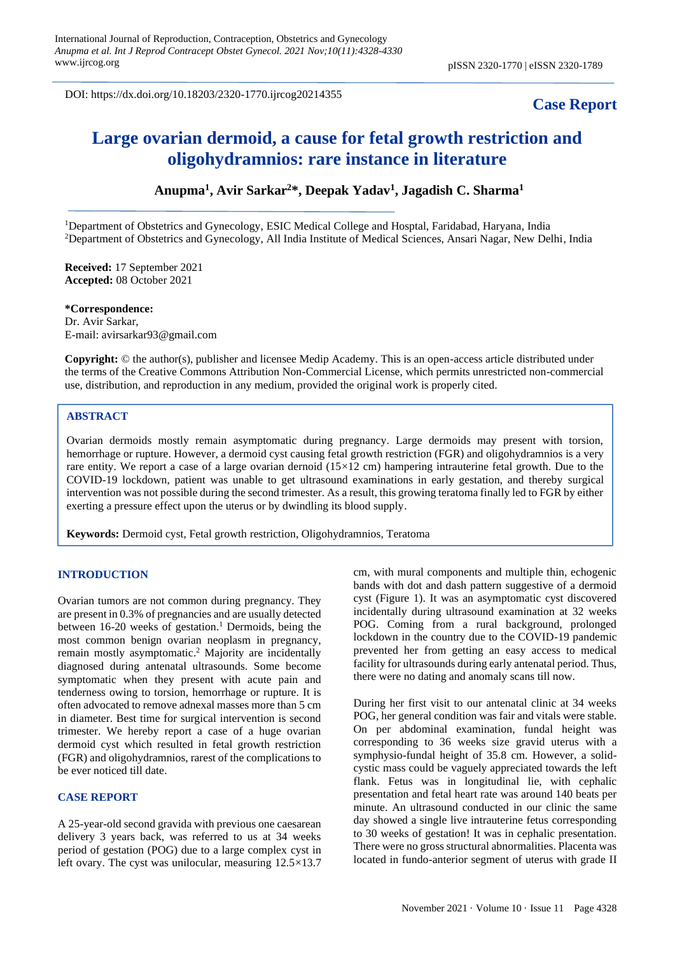DOI: https://dx.doi.org/10.18203/2320-1770.ijrcog20214355

# **Case Report**

# **Large ovarian dermoid, a cause for fetal growth restriction and oligohydramnios: rare instance in literature**

# **Anupma<sup>1</sup> , Avir Sarkar<sup>2</sup>\*, Deepak Yadav<sup>1</sup> , Jagadish C. Sharma<sup>1</sup>**

<sup>1</sup>Department of Obstetrics and Gynecology, ESIC Medical College and Hosptal, Faridabad, Haryana, India <sup>2</sup>Department of Obstetrics and Gynecology, All India Institute of Medical Sciences, Ansari Nagar, New Delhi, India

**Received:** 17 September 2021 **Accepted:** 08 October 2021

**\*Correspondence:** Dr. Avir Sarkar, E-mail: avirsarkar93@gmail.com

**Copyright:** © the author(s), publisher and licensee Medip Academy. This is an open-access article distributed under the terms of the Creative Commons Attribution Non-Commercial License, which permits unrestricted non-commercial use, distribution, and reproduction in any medium, provided the original work is properly cited.

## **ABSTRACT**

Ovarian dermoids mostly remain asymptomatic during pregnancy. Large dermoids may present with torsion, hemorrhage or rupture. However, a dermoid cyst causing fetal growth restriction (FGR) and oligohydramnios is a very rare entity. We report a case of a large ovarian dernoid  $(15\times12$  cm) hampering intrauterine fetal growth. Due to the COVID-19 lockdown, patient was unable to get ultrasound examinations in early gestation, and thereby surgical intervention was not possible during the second trimester. As a result, this growing teratoma finally led to FGR by either exerting a pressure effect upon the uterus or by dwindling its blood supply.

**Keywords:** Dermoid cyst, Fetal growth restriction, Oligohydramnios, Teratoma

### **INTRODUCTION**

Ovarian tumors are not common during pregnancy. They are present in 0.3% of pregnancies and are usually detected between 16-20 weeks of gestation. <sup>1</sup> Dermoids, being the most common benign ovarian neoplasm in pregnancy, remain mostly asymptomatic. <sup>2</sup> Majority are incidentally diagnosed during antenatal ultrasounds. Some become symptomatic when they present with acute pain and tenderness owing to torsion, hemorrhage or rupture. It is often advocated to remove adnexal masses more than 5 cm in diameter. Best time for surgical intervention is second trimester. We hereby report a case of a huge ovarian dermoid cyst which resulted in fetal growth restriction (FGR) and oligohydramnios, rarest of the complications to be ever noticed till date.

#### **CASE REPORT**

A 25-year-old second gravida with previous one caesarean delivery 3 years back, was referred to us at 34 weeks period of gestation (POG) due to a large complex cyst in left ovary. The cyst was unilocular, measuring 12.5×13.7 cm, with mural components and multiple thin, echogenic bands with dot and dash pattern suggestive of a dermoid cyst (Figure 1). It was an asymptomatic cyst discovered incidentally during ultrasound examination at 32 weeks POG. Coming from a rural background, prolonged lockdown in the country due to the COVID-19 pandemic prevented her from getting an easy access to medical facility for ultrasounds during early antenatal period. Thus, there were no dating and anomaly scans till now.

During her first visit to our antenatal clinic at 34 weeks POG, her general condition was fair and vitals were stable. On per abdominal examination, fundal height was corresponding to 36 weeks size gravid uterus with a symphysio-fundal height of 35.8 cm. However, a solidcystic mass could be vaguely appreciated towards the left flank. Fetus was in longitudinal lie, with cephalic presentation and fetal heart rate was around 140 beats per minute. An ultrasound conducted in our clinic the same day showed a single live intrauterine fetus corresponding to 30 weeks of gestation! It was in cephalic presentation. There were no gross structural abnormalities. Placenta was located in fundo-anterior segment of uterus with grade II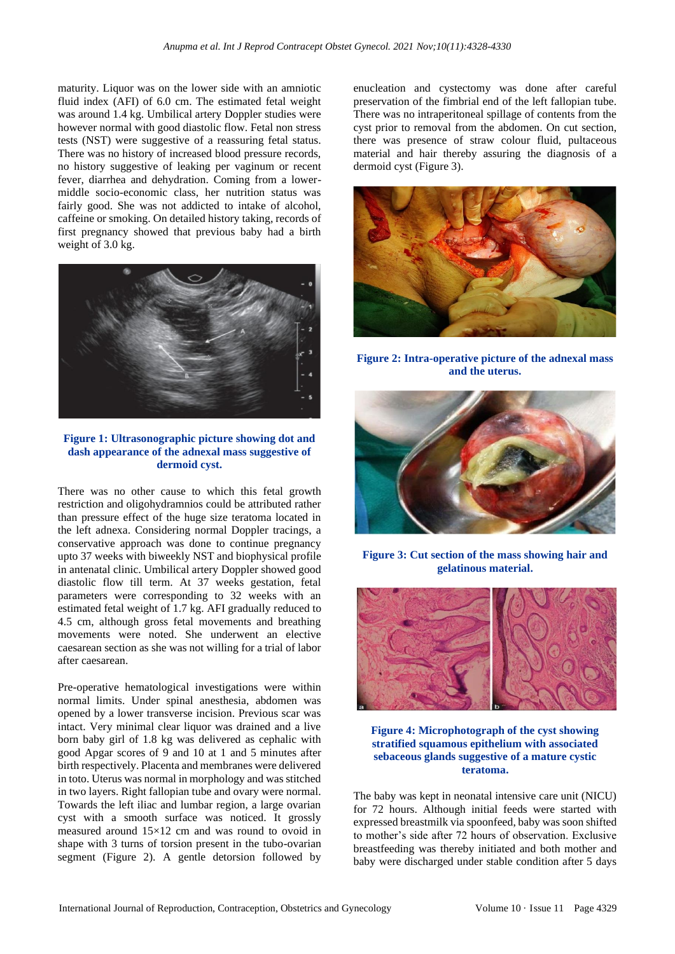maturity. Liquor was on the lower side with an amniotic fluid index (AFI) of 6.0 cm. The estimated fetal weight was around 1.4 kg. Umbilical artery Doppler studies were however normal with good diastolic flow. Fetal non stress tests (NST) were suggestive of a reassuring fetal status. There was no history of increased blood pressure records, no history suggestive of leaking per vaginum or recent fever, diarrhea and dehydration. Coming from a lowermiddle socio-economic class, her nutrition status was fairly good. She was not addicted to intake of alcohol, caffeine or smoking. On detailed history taking, records of first pregnancy showed that previous baby had a birth weight of 3.0 kg.



**Figure 1: Ultrasonographic picture showing dot and dash appearance of the adnexal mass suggestive of dermoid cyst.**

There was no other cause to which this fetal growth restriction and oligohydramnios could be attributed rather than pressure effect of the huge size teratoma located in the left adnexa. Considering normal Doppler tracings, a conservative approach was done to continue pregnancy upto 37 weeks with biweekly NST and biophysical profile in antenatal clinic. Umbilical artery Doppler showed good diastolic flow till term. At 37 weeks gestation, fetal parameters were corresponding to 32 weeks with an estimated fetal weight of 1.7 kg. AFI gradually reduced to 4.5 cm, although gross fetal movements and breathing movements were noted. She underwent an elective caesarean section as she was not willing for a trial of labor after caesarean.

Pre-operative hematological investigations were within normal limits. Under spinal anesthesia, abdomen was opened by a lower transverse incision. Previous scar was intact. Very minimal clear liquor was drained and a live born baby girl of 1.8 kg was delivered as cephalic with good Apgar scores of 9 and 10 at 1 and 5 minutes after birth respectively. Placenta and membranes were delivered in toto. Uterus was normal in morphology and was stitched in two layers. Right fallopian tube and ovary were normal. Towards the left iliac and lumbar region, a large ovarian cyst with a smooth surface was noticed. It grossly measured around 15×12 cm and was round to ovoid in shape with 3 turns of torsion present in the tubo-ovarian segment (Figure 2). A gentle detorsion followed by enucleation and cystectomy was done after careful preservation of the fimbrial end of the left fallopian tube. There was no intraperitoneal spillage of contents from the cyst prior to removal from the abdomen. On cut section, there was presence of straw colour fluid, pultaceous material and hair thereby assuring the diagnosis of a dermoid cyst (Figure 3).



**Figure 2: Intra-operative picture of the adnexal mass and the uterus.**



**Figure 3: Cut section of the mass showing hair and gelatinous material.**



**Figure 4: Microphotograph of the cyst showing stratified squamous epithelium with associated sebaceous glands suggestive of a mature cystic teratoma.**

The baby was kept in neonatal intensive care unit (NICU) for 72 hours. Although initial feeds were started with expressed breastmilk via spoonfeed, baby was soon shifted to mother's side after 72 hours of observation. Exclusive breastfeeding was thereby initiated and both mother and baby were discharged under stable condition after 5 days